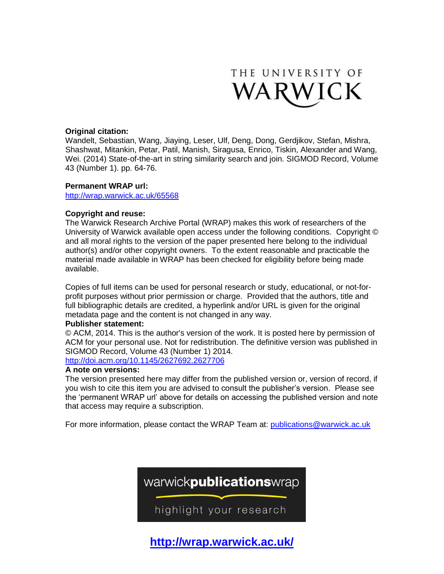

### **Original citation:**

Wandelt, Sebastian, Wang, Jiaying, Leser, Ulf, Deng, Dong, Gerdjikov, Stefan, Mishra, Shashwat, Mitankin, Petar, Patil, Manish, Siragusa, Enrico, Tiskin, Alexander and Wang, Wei. (2014) State-of-the-art in string similarity search and join. SIGMOD Record, Volume 43 (Number 1). pp. 64-76.

### **Permanent WRAP url:**

<http://wrap.warwick.ac.uk/65568>

### **Copyright and reuse:**

The Warwick Research Archive Portal (WRAP) makes this work of researchers of the University of Warwick available open access under the following conditions. Copyright © and all moral rights to the version of the paper presented here belong to the individual author(s) and/or other copyright owners. To the extent reasonable and practicable the material made available in WRAP has been checked for eligibility before being made available.

Copies of full items can be used for personal research or study, educational, or not-forprofit purposes without prior permission or charge. Provided that the authors, title and full bibliographic details are credited, a hyperlink and/or URL is given for the original metadata page and the content is not changed in any way.

### **Publisher statement:**

© ACM, 2014. This is the author's version of the work. It is posted here by permission of ACM for your personal use. Not for redistribution. The definitive version was published in SIGMOD Record, Volume 43 (Number 1) 2014.

### <http://doi.acm.org/10.1145/2627692.2627706>

### **A note on versions:**

The version presented here may differ from the published version or, version of record, if you wish to cite this item you are advised to consult the publisher's version. Please see the 'permanent WRAP url' above for details on accessing the published version and note that access may require a subscription.

For more information, please contact the WRAP Team at: [publications@warwick.ac.uk](mailto:publications@warwick.ac.uk)



**<http://wrap.warwick.ac.uk/>**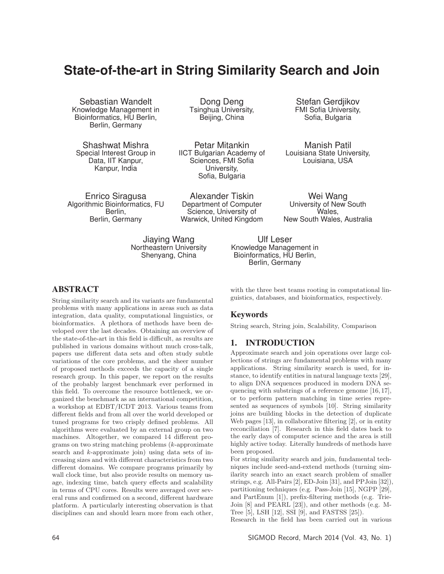# **State-of-the-art in String Similarity Search and Join**

Sebastian Wandelt Knowledge Management in Bioinformatics, HU Berlin, Berlin, Germany

Shashwat Mishra Special Interest Group in Data, IIT Kanpur, Kanpur, India

Dong Deng Tsinghua University, Beijing, China

Petar Mitankin IICT Bulgarian Academy of Sciences, FMI Sofia University, Sofia, Bulgaria

Enrico Siragusa Algorithmic Bioinformatics, FU Berlin, Berlin, Germany

> Jiaying Wang Northeastern University Shenyang, China

Alexander Tiskin Department of Computer Science, University of Warwick, United Kingdom

Stefan Gerdjikov FMI Sofia University, Sofia, Bulgaria

Manish Patil Louisiana State University, Louisiana, USA

Wei Wang University of New South Wales, New South Wales, Australia

Ulf Leser Knowledge Management in Bioinformatics, HU Berlin, Berlin, Germany

### ABSTRACT

String similarity search and its variants are fundamental problems with many applications in areas such as data integration, data quality, computational linguistics, or bioinformatics. A plethora of methods have been developed over the last decades. Obtaining an overview of the state-of-the-art in this field is difficult, as results are published in various domains without much cross-talk, papers use different data sets and often study subtle variations of the core problems, and the sheer number of proposed methods exceeds the capacity of a single research group. In this paper, we report on the results of the probably largest benchmark ever performed in this field. To overcome the resource bottleneck, we organized the benchmark as an international competition, a workshop at EDBT/ICDT 2013. Various teams from different fields and from all over the world developed or tuned programs for two crisply defined problems. All algorithms were evaluated by an external group on two machines. Altogether, we compared 14 different programs on two string matching problems (k-approximate search and k-approximate join) using data sets of increasing sizes and with different characteristics from two different domains. We compare programs primarily by wall clock time, but also provide results on memory usage, indexing time, batch query effects and scalability in terms of CPU cores. Results were averaged over several runs and confirmed on a second, different hardware platform. A particularly interesting observation is that disciplines can and should learn more from each other,

with the three best teams rooting in computational linguistics, databases, and bioinformatics, respectively.

#### Keywords

String search, String join, Scalability, Comparison

### 1. INTRODUCTION

Approximate search and join operations over large collections of strings are fundamental problems with many applications. String similarity search is used, for instance, to identify entities in natural language texts [29], to align DNA sequences produced in modern DNA sequencing with substrings of a reference genome [16, 17], or to perform pattern matching in time series represented as sequences of symbols [10]. String similarity joins are building blocks in the detection of duplicate Web pages [13], in collaborative filtering [2], or in entity reconciliation [7]. Research in this field dates back to the early days of computer science and the area is still highly active today. Literally hundreds of methods have been proposed.

For string similarity search and join, fundamental techniques include seed-and-extend methods (turning similarity search into an exact search problem of smaller strings, e.g. All-Pairs [2], ED-Join [31], and PPJoin [32]), partitioning techniques (e.g. Pass-Join [15], NGPP [29], and PartEnum [1]), prefix-filtering methods (e.g. Trie-Join [8] and PEARL [23]), and other methods (e.g. M-Tree [5], LSH [12], SSI [9], and FASTSS [25]).

Research in the field has been carried out in various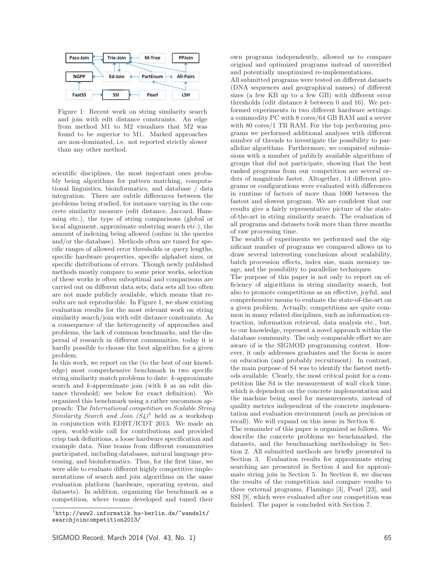

Figure 1: Recent work on string similarity search and join with edit distance constraints. An edge from method M1 to M2 visualizes that M2 was found to be superior to M1. Marked approaches are non-dominated, i.e. not reported strictly slower than any other method.

scientific disciplines, the most important ones probably being algorithms for pattern matching, computational linguistics, bioinformatics, and database / data integration. There are subtle differences between the problems being studied, for instance varying in the concrete similarity measure (edit distance, Jaccard, Hamming etc.), the type of string comparisons (global or local alignment, approximate substring search etc.), the amount of indexing being allowed (online in the queries and/or the database). Methods often are tuned for specific ranges of allowed error thresholds or query lengths, specific hardware properties, specific alphabet sizes, or specific distributions of errors. Though newly published methods mostly compare to some prior works, selection of these works is often suboptimal and comparisons are carried out on different data sets; data sets all too often are not made publicly available, which means that results are not reproducible. In Figure 1, we show existing evaluation results for the most relevant work on string similarity search/join with edit distance constraints. As a consequence of the heterogeneity of approaches and problems, the lack of common benchmarks, and the dispersal of research in different communities, today it is hardly possible to choose the best algorithm for a given problem.

In this work, we report on the (to the best of our knowledge) most comprehensive benchmark in two specific string similarity match problems to date: k-approximate search and  $k$ -approximate join (with  $k$  as an edit distance threshold; see below for exact definition). We organized this benchmark using a rather uncommon approach: The International competition on Scalable String Similarity Search and Join  $(S_4)^1$  held as a workshop in conjunction with EDBT/ICDT 2013. We made an open, world-wide call for contributions and provided crisp task definitions, a loose hardware specification and example data. Nine teams from different communities participated, including databases, natural language processing, and bioinformatics. Thus, for the first time, we were able to evaluate different highly competitive implementations of search and join algorithms on the same evaluation platform (hardware, operating system, and datasets). In addition, organizing the benchmark as a competition, where teams developed and tuned their

own programs independently, allowed us to compare original and optimized programs instead of unverified and potentially unoptimized re-implementations.

All submitted programs were tested on different datasets (DNA sequences and geographical names) of different sizes (a few KB up to a few GB) with different error thresholds (edit distance  $k$  between 0 and 16). We performed experiments in two different hardware settings: a commodity PC with 8 cores/64 GB RAM and a server with 80 cores/1 TB RAM. For the top performing programs we performed additional analyses with different number of threads to investigate the possibility to parallelize algorithms. Furthermore, we compared submissions with a number of publicly available algorithms of groups that did not participate, showing that the best ranked programs from our competition are several orders of magnitude faster. Altogether, 14 different programs or configurations were evaluated with differences in runtime of factors of more than 1000 between the fastest and slowest program. We are confident that our results give a fairly representative picture of the stateof-the-art in string similarity search. The evaluation of all programs and datasets took more than three months of raw processing time.

The wealth of experiments we performed and the significant number of programs we compared allows us to draw several interesting conclusions about scalability, batch procession effects, index size, main memory usage, and the possibility to parallelize techniques.

The purpose of this paper is not only to report on efficiency of algorithms in string similarity search, but also to promote competitions as an effective, joyful, and comprehensive means to evaluate the state-of-the-art on a given problem. Actually, competitions are quite common in many related disciplines, such as information extraction, information retrieval, data analysis etc., but, to our knowledge, represent a novel approach within the database community. The only comparable effort we are aware of is the SIGMOD programming contest. However, it only addresses graduates and the focus is more on education (and probably recruitment). In contrast, the main purpose of S4 was to identify the fastest methods available. Clearly, the most critical point for a competition like S4 is the measurement of wall clock time, which is dependent on the concrete implementation and the machine being used for measurements, instead of quality metrics independent of the concrete implementation and evaluation environment (such as precision or recall). We will expand on this issue in Section 6.

The remainder of this paper is organized as follows. We describe the concrete problems we benchmarked, the datasets, and the benchmarking methodology in Section 2. All submitted methods are briefly presented in Section 3. Evaluation results for approximate string searching are presented in Section 4 and for approximate string join in Section 5. In Section 6, we discuss the results of the competition and compare results to three external programs, Flamingo [3], Pearl [23], and SSI [9], which were evaluated after our competition was finished. The paper is concluded with Section 7.

 $1$ http://www2.informatik.hu-berlin.de/~wandelt/ searchjoincompetition2013/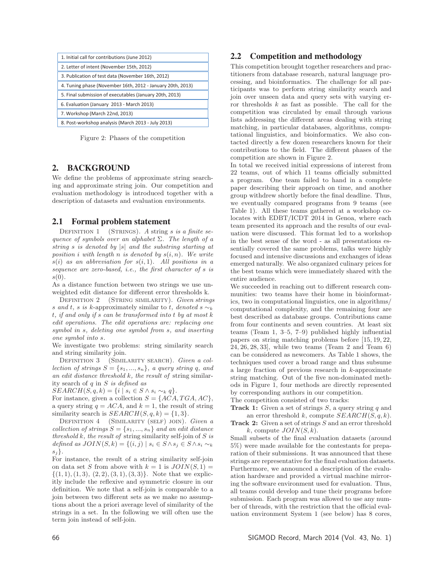| 1. Initial call for contributions (June 2012)<br>2. Letter of intent (November 15th, 2012) |  |  |  |  |  |
|--------------------------------------------------------------------------------------------|--|--|--|--|--|
|                                                                                            |  |  |  |  |  |
|                                                                                            |  |  |  |  |  |
| 3. Publication of test data (November 16th, 2012)                                          |  |  |  |  |  |
| 4. Tuning phase (November 16th, 2012 - January 20th, 2013)                                 |  |  |  |  |  |
| 5. Final submission of executables (January 20th, 2013)                                    |  |  |  |  |  |
| 6. Evaluation (January 2013 - March 2013)                                                  |  |  |  |  |  |
| 7. Workshop (March 22nd, 2013)                                                             |  |  |  |  |  |
| 8. Post-workshop analysis (March 2013 - July 2013)                                         |  |  |  |  |  |

Figure 2: Phases of the competition

#### 2. BACKGROUND

We define the problems of approximate string searching and approximate string join. Our competition and evaluation methodology is introduced together with a description of datasets and evaluation environments.

#### 2.1 Formal problem statement

DEFINITION 1 (STRINGS). A string s is a finite sequence of symbols over an alphabet  $\Sigma$ . The length of a string s is denoted by |s| and the substring starting at position i with length n is denoted by  $s(i, n)$ . We write  $s(i)$  as an abbreviation for  $s(i, 1)$ . All positions in a sequence are zero-based, i.e., the first character of s is  $s(0)$ .

As a distance function between two strings we use unweighted edit distance for different error thresholds k.

DEFINITION 2 (STRING SIMILARITY). Given strings s and t, s is k-approximately similar to t, denoted s  $\sim_k$ t, if and only if s can be transformed into t by at most k edit operations. The edit operations are: replacing one symbol in s, deleting one symbol from s, and inserting one symbol into s.

We investigate two problems: string similarity search and string similarity join.

DEFINITION 3 (SIMILARITY SEARCH). Given a collection of strings  $S = \{s_1, ..., s_n\}$ , a query string q, and an edit distance threshold  $k$ , the result of string similarity search of  $q$  in  $S$  is defined as

 $SEARCH(S, q, k) = \{i \mid s_i \in S \land s_i \sim_k q\}.$ 

For instance, given a collection  $S = \{ACA, TGA, AC\},\$ a query string  $q = ACA$ , and  $k = 1$ , the result of string similarity search is  $SEARCH(S, q, k) = \{1, 3\}.$ 

DEFINITION 4 (SIMILARITY (SELF) JOIN). Given a collection of strings  $S = \{s_1, ..., s_n\}$  and an edit distance threshold  $k$ , the result of string similarity self-join of  $S$  is defined as  $JOIN(S, k) = \{(i, j) | s_i \in S \land s_j \in S \land s_i \sim_k$  $s_j$ .

For instance, the result of a string similarity self-join on data set S from above with  $k = 1$  is  $JOIN(S, 1) =$  $\{(1, 1), (1, 3), (2, 2), (3, 1), (3, 3)\}.$  Note that we explicitly include the reflexive and symmetric closure in our definition. We note that a self-join is comparable to a join between two different sets as we make no assumptions about the a priori average level of similarity of the strings in a set. In the following we will often use the term join instead of self-join.

#### 2.2 Competition and methodology

This competition brought together researchers and practitioners from database research, natural language processing, and bioinformatics. The challenge for all participants was to perform string similarity search and join over unseen data and query sets with varying error thresholds  $k$  as fast as possible. The call for the competition was circulated by email through various lists addressing the different areas dealing with string matching, in particular databases, algorithms, computational linguistics, and bioinformatics. We also contacted directly a few dozen researchers known for their contributions to the field. The different phases of the competition are shown in Figure 2.

In total we received initial expressions of interest from 22 teams, out of which 11 teams officially submitted a program. One team failed to hand in a complete paper describing their approach on time, and another group withdrew shortly before the final deadline. Thus, we eventually compared programs from 9 teams (see Table 1). All these teams gathered at a workshop colocates with EDBT/ICDT 2014 in Genoa, where each team presented its approach and the results of our evaluation were discussed. This format led to a workshop in the best sense of the word - as all presentations essentially covered the same problems, talks were highly focused and intensive discussions and exchanges of ideas emerged naturally. We also organized culinary prices for the best teams which were immediately shared with the entire audience.

We succeeded in reaching out to different research communities: two teams have their home in bioinformatics, two in computational linguistics, one in algorithms/ computational complexity, and the remaining four are best described as database groups. Contributions came from four continents and seven countries. At least six teams (Team 1, 3–5, 7–9) published highly influential papers on string matching problems before [15, 19, 22, 24, 26, 28, 33], while two teams (Team 2 and Team 6) can be considered as newcomers. As Table 1 shows, the techniques used cover a broad range and thus subsume a large fraction of previous research in  $k$ -approximate string matching. Out of the five non-dominated methods in Figure 1, four methods are directly represented by corresponding authors in our competition.

The competition consisted of two tracks:

**Track 1:** Given a set of strings S, a query string q and an error threshold k, compute  $SEARCH(S, q, k)$ .

**Track 2:** Given a set of strings <sup>S</sup> and an error threshold k, compute  $JOIN(S, k)$ .

Small subsets of the final evaluation datasets (around 5%) were made available for the contestants for preparation of their submissions. It was announced that these strings are representative for the final evaluation datasets. Furthermore, we announced a description of the evaluation hardware and provided a virtual machine mirroring the software environment used for evaluation. Thus, all teams could develop and tune their programs before submission. Each program was allowed to use any number of threads, with the restriction that the official evaluation environment System 1 (see below) has 8 cores,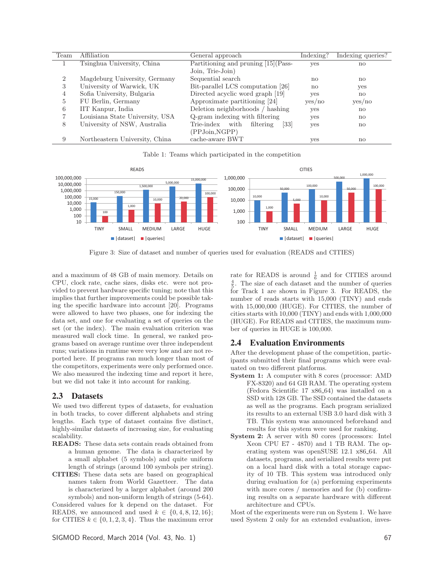| Team           | Affiliation                     | General approach                        | Indexing?    | Indexing queries? |
|----------------|---------------------------------|-----------------------------------------|--------------|-------------------|
|                | Tsinghua University, China      | Partitioning and pruning [15] (Pass-    | yes          | $\mathbf{n}$      |
|                |                                 | Join, Trie-Join)                        |              |                   |
| $\overline{2}$ | Magdeburg University, Germany   | Sequential search                       | $\mathbf{n}$ | no                |
| 3              | University of Warwick, UK       | Bit-parallel LCS computation [26]       | $\mathbf{n}$ | yes               |
| 4              | Sofia University, Bulgaria      | Directed acyclic word graph [19]        | yes          | no                |
| 5              | FU Berlin, Germany              | Approximate partitioning [24]           | yes/no       | yes/no            |
| 6              | IIT Kanpur, India               | Deletion neighborhoods / hashing        | yes          | no                |
|                | Louisiana State University, USA | Q-gram indexing with filtering          | yes          | no                |
| 8              | University of NSW, Australia    | Trie-index<br>[33]<br>with<br>filtering | yes          | no                |
|                |                                 | (PPJoin,NGPP)                           |              |                   |
| 9              | Northeastern University, China  | cache-aware BWT                         | yes          | no                |

Table 1: Teams which participated in the competition



Figure 3: Size of dataset and number of queries used for evaluation (READS and CITIES)

and a maximum of 48 GB of main memory. Details on CPU, clock rate, cache sizes, disks etc. were not provided to prevent hardware specific tuning; note that this implies that further improvements could be possible taking the specific hardware into account [20]. Programs were allowed to have two phases, one for indexing the data set, and one for evaluating a set of queries on the set (or the index). The main evaluation criterion was measured wall clock time. In general, we ranked programs based on average runtime over three independent runs; variations in runtime were very low and are not reported here. If programs ran much longer than most of the competitors, experiments were only performed once. We also measured the indexing time and report it here, but we did not take it into account for ranking.

#### 2.3 Datasets

We used two different types of datasets, for evaluation in both tracks, to cover different alphabets and string lengths. Each type of dataset contains five distinct, highly-similar datasets of increasing size, for evaluating scalability.

- **READS:** These data sets contain reads obtained from a human genome. The data is characterized by a small alphabet (5 symbols) and quite uniform length of strings (around 100 symbols per string).
- **CITIES:** These data sets are based on geographical names taken from World Gazetteer. The data is characterized by a larger alphabet (around 200 symbols) and non-uniform length of strings (5-64).

Considered values for k depend on the dataset. For READS, we announced and used  $k \in \{0, 4, 8, 12, 16\};$ for CITIES  $k \in \{0, 1, 2, 3, 4\}$ . Thus the maximum error

rate for READS is around  $\frac{1}{6}$  and for CITIES around  $\frac{4}{3}$ . The size of each dataset and the number of queries  $\frac{4}{5}$ . The size of each dataset and the number of queries for Track 1 are shown in Figure 3. For READS, the number of reads starts with 15,000 (TINY) and ends with 15,000,000 (HUGE). For CITIES, the number of cities starts with 10,000 (TINY) and ends with 1,000,000 (HUGE). For READS and CITIES, the maximum number of queries in HUGE is 100,000.

### 2.4 Evaluation Environments

After the development phase of the competition, participants submitted their final programs which were evaluated on two different platforms.

- **System 1:** A computer with 8 cores (processor: AMD) FX-8320) and 64 GB RAM. The operating system (Fedora Scientific 17 x86\_64) was installed on a SSD with 128 GB. The SSD contained the datasets as well as the programs. Each program serialized its results to an external USB 3.0 hard disk with 3 TB. This system was announced beforehand and results for this system were used for ranking.
- **System 2:** A server with 80 cores (processors: Intel Xeon CPU E7 - 4870) and 1 TB RAM. The operating system was openSUSE 12.1 x86\_64. All datasets, programs, and serialized results were put on a local hard disk with a total storage capacity of 10 TB. This system was introduced only during evaluation for (a) performing experiments with more cores / memories and for (b) confirming results on a separate hardware with different architecture and CPUs.

Most of the experiments were run on System 1. We have used System 2 only for an extended evaluation, inves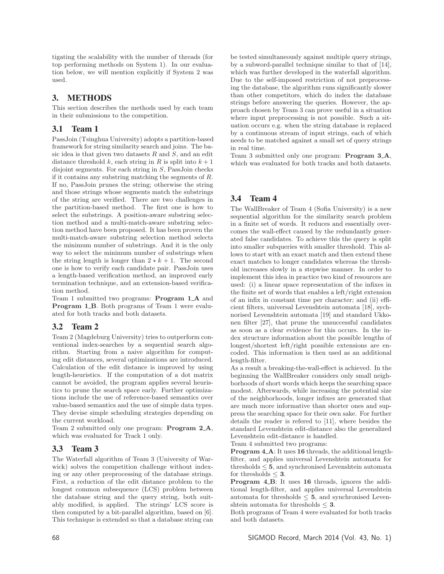tigating the scalability with the number of threads (for top performing methods on System 1). In our evaluation below, we will mention explicitly if System 2 was used.

# 3. METHODS

This section describes the methods used by each team in their submissions to the competition.

## 3.1 Team 1

PassJoin (Tsinghua University) adopts a partition-based framework for string similarity search and joins. The basic idea is that given two datasets  $R$  and  $S$ , and an edit distance threshold k, each string in R is split into  $k+1$ disjoint segments. For each string in S, PassJoin checks if it contains any substring matching the segments of R. If no, PassJoin prunes the string; otherwise the string and those strings whose segments match the substrings of the string are verified. There are two challenges in the partition-based method. The first one is how to select the substrings. A position-aware substring selection method and a multi-match-aware substring selection method have been proposed. It has been proven the multi-match-aware substring selection method selects the minimum number of substrings. And it is the only way to select the minimum number of substrings when the string length is longer than  $2 * k + 1$ . The second one is how to verify each candidate pair. PassJoin uses a length-based verification method, an improved early termination technique, and an extension-based verification method.

Team 1 submitted two programs: **Program 1 <sup>A</sup>** and **Program 1\_B**. Both programs of Team 1 were evaluated for both tracks and both datasets.

# 3.2 Team 2

Team 2 (Magdeburg University) tries to outperform conventional index-searches by a sequential search algorithm. Starting from a naive algorithm for computing edit distances, several optimizations are introduced. Calculation of the edit distance is improved by using length-heuristics. If the computation of a dot matrix cannot be avoided, the program applies several heuristics to prune the search space early. Further optimizations include the use of reference-based semantics over value-based semantics and the use of simple data types. They devise simple scheduling strategies depending on the current workload.

Team 2 submitted only one program: **Program 2 <sup>A</sup>**, which was evaluated for Track 1 only.

### 3.3 Team 3

The Waterfall algorithm of Team 3 (University of Warwick) solves the competition challenge without indexing or any other preprocessing of the database strings. First, a reduction of the edit distance problem to the longest common subsequence (LCS) problem between the database string and the query string, both suitably modified, is applied. The strings' LCS score is then computed by a bit-parallel algorithm, based on [6]. This technique is extended so that a database string can

be tested simultaneously against multiple query strings, by a subword-parallel technique similar to that of [14], which was further developed in the waterfall algorithm. Due to the self-imposed restriction of not preprocessing the database, the algorithm runs significantly slower than other competitors, which do index the database strings before answering the queries. However, the approach chosen by Team 3 can prove useful in a situation where input preprocessing is not possible. Such a situation occurs e.g. when the string database is replaced by a continuous stream of input strings, each of which needs to be matched against a small set of query strings in real time.

Team 3 submitted only one program: **Program 3 <sup>A</sup>**, which was evaluated for both tracks and both datasets.

# 3.4 Team 4

The WallBreaker of Team 4 (Sofia University) is a new sequential algorithm for the similarity search problem in a finite set of words. It reduces and essentially overcomes the wall-effect caused by the redundantly generated false candidates. To achieve this the query is split into smaller subqueries with smaller threshold. This allows to start with an exact match and then extend these exact matches to longer candidates whereas the threshold increases slowly in a stepwise manner. In order to implement this idea in practice two kind of resources are used: (i) a linear space representation of the infixes in the finite set of words that enables a left/right extension of an infix in constant time per character; and (ii) efficient filters, universal Levenshtein automata [18], sychnorised Levenshtein automata [19] and standard Ukkonen filter [27], that prune the unsuccessful candidates as soon as a clear evidence for this occurs. In the index structure information about the possible lengths of longest/shortest left/right possible extensions are encoded. This information is then used as an additional length-filter.

As a result a breaking-the-wall-effect is achieved. In the beginning the WallBreaker considers only small neighborhoods of short words which keeps the searching space modest. Afterwards, while increasing the potential size of the neighborhoods, longer infixes are generated that are much more informative than shorter ones and suppress the searching space for their own sake. For further details the reader is refered to [11], where besides the standard Levenshtein edit-distance also the generalized Levenshtein edit-distance is handled.

Team 4 submitted two programs:

**Program 4.A:** It uses 16 threads, the additional lengthfilter, and applies universal Levenshtein automata for thresholds  $\leq 5$ , and synchronised Levenshtein automata for thresholds  $\leq 3$ .

**Program 4 <sup>B</sup>**: It uses **<sup>16</sup>** threads, ignores the additional length-filter, and applies universal Levenshtein automata for thresholds  $\leq 5$ , and synchronised Levenshtein automata for thresholds <sup>≤</sup> **3**.

Both programs of Team 4 were evaluated for both tracks and both datasets.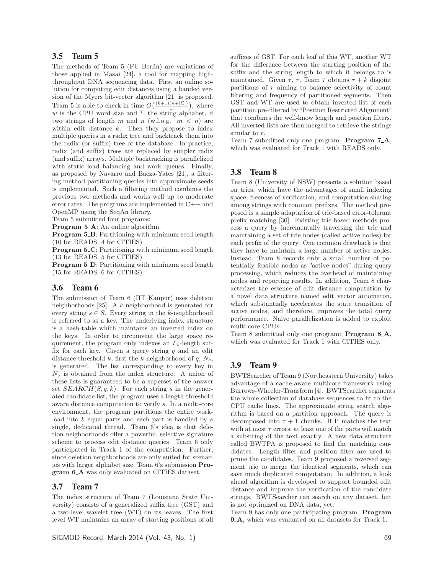#### 3.5 Team 5

The methods of Team 5 (FU Berlin) are variations of those applied in Masai [24], a tool for mapping highthroughput DNA sequencing data. First an online solution for computing edit distances using a banded version of the Myers bit-vector algorithm [21] is proposed. Team 5 is able to check in time  $O(\frac{(k+1)(n+|\Sigma|)}{m})$ , where w is the CPU word size and  $\Sigma$  the string alphabet, if two strings of length m and n (w.l.o.g.  $m < n$ ) are within edit distance  $k$ . Then they propose to index multiple queries in a radix tree and backtrack them into the radix (or suffix) tree of the database. In practice, radix (and suffix) trees are replaced by simpler radix (and suffix) arrays. Multiple backtracking is parallelized with static load balancing and work queues. Finally, as proposed by Navarro and Baeza-Yates [21], a filtering method partitioning queries into approximate seeds is implemented. Such a filtering method combines the previous two methods and works well up to moderate error rates. The programs are implemented in C++ and OpenMP using the SeqAn library.

Team 5 submitted four programs:

**Program 5\_A**: An online algorithm.

**Program 5\_B:** Partitioning with minimum seed length (10 for READS, 4 for CITIES)

**Program 5<sub></sub>C**: Partitioning with minimum seed length (13 for READS, 5 for CITIES)

**Program 5<sub></sub>D**: Partitioning with minimum seed length (15 for READS, 6 for CITIES)

#### 3.6 Team 6

The submission of Team 6 (IIT Kanpur) uses deletion neighborhoods [25]. A k-neighborhood is generated for every string  $s \in S$ . Every string in the k-neighborhood is referred to as a key. The underlying index structure is a hash-table which maintains an inverted index on the keys. In order to circumvent the large space requirement, the program only indexes an  $L_s$ -length suffix for each key. Given a query string  $q$  and an edit distance threshold k, first the k-neighborhood of  $q$ ,  $N_q$ , is generated. The list corresponding to every key in  $N_q$  is obtained from the index structure. A union of these lists is guaranteed to be a superset of the answer set  $SEARCH(S, q, k)$ . For each string s in the generated candidate list, the program uses a length-threshold aware distance computation to verify s. In a multi-core environment, the program partitions the entire workload into k equal parts and each part is handled by a single, dedicated thread. Team 6's idea is that deletion neighborhoods offer a powerful, selective signature scheme to process edit distance queries. Team 6 only participated in Track 1 of the competition. Further, since deletion neighborhoods are only suited for scenarios with larger alphabet size, Team 6's submission **Program 6 <sup>A</sup>** was only evaluated on CITIES dataset.

#### 3.7 Team 7

The index structure of Team 7 (Louisiana State University) consists of a generalized suffix tree (GST) and a two-level wavelet tree (WT) on its leaves. The first level WT maintains an array of starting positions of all

suffixes of GST. For each leaf of this WT, another WT for the difference between the starting position of the suffix and the string length to which it belongs to is maintained. Given  $\tau$ , r, Team 7 obtains  $\tau + k$  disjoint partitions of  $r$  aiming to balance selectivity of count filtering and frequency of partitioned segments. Then GST and WT are used to obtain inverted list of each partition pre-filtered by "Position Restricted Alignment" that combines the well-know length and position filters. All inverted lists are then merged to retrieve the strings similar to r.

Team 7 submitted only one program: **Program 7 <sup>A</sup>**, which was evaluated for Track 1 with READS only.

#### 3.8 Team 8

Team 8 (University of NSW) presents a solution based on tries, which have the advantages of small indexing space, freeness of verification, and computation sharing among strings with common prefixes. The method proposed is a simple adaptation of trie-based error-tolerant prefix matching [30]. Existing trie-based methods process a query by incrementally traversing the trie and maintaining a set of trie nodes (called active nodes) for each prefix of the query. One common drawback is that they have to maintain a large number of active nodes. Instead, Team 8 records only a small number of potentially feasible nodes as "active nodes" during query processing, which reduces the overhead of maintaining nodes and reporting results. In addition, Team 8 characterizes the essence of edit distance computation by a novel data structure named edit vector automaton, which substantially accelerates the state transition of active nodes, and therefore, improves the total query performance. Naive parallelization is added to exploit multi-core CPUs.

Team 8 submitted only one program: **Program 8 <sup>A</sup>**, which was evaluated for Track 1 with CITIES only.

#### 3.9 Team 9

BWTSearcher of Team 9 (Northeastern University) takes advantage of a cache-aware multicore framework using Burrows-Wheeler-Transform [4]. BWTSearcher segments the whole collection of database sequences to fit to the CPU cache lines. The approximate string search algorithm is based on a partition approach. The query is decomposed into  $\tau + 1$  chunks. If P matches the text with at most  $\tau$  errors, at least one of the parts will match a substring of the text exactly. A new data structure called BWTPA is proposed to find the matching candidates. Length filter and position filter are used to prune the candidates. Team 9 proposed a reversed segment trie to merge the identical segments, which can save much duplicated computation. In addition, a look ahead algorithm is developed to support bounded edit distance and improve the verification of the candidate strings. BWTSearcher can search on any dataset, but is not optimized on DNA data, yet.

Team 9 has only one participating program: **Program 9 <sup>A</sup>**, which was evaluated on all datasets for Track 1.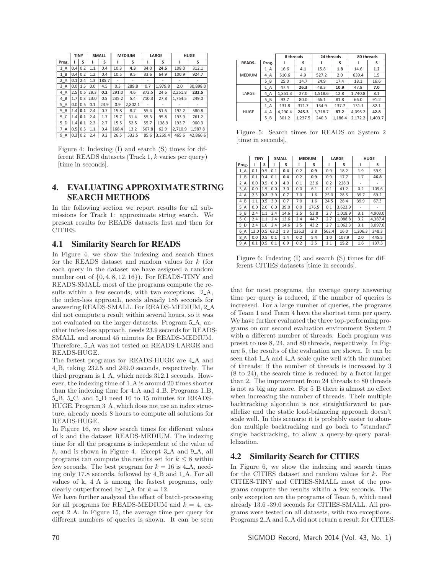|                     | <b>TINY</b> |     |      | <b>SMALL</b> |       | <b>MEDIUM</b> |       | LARGE   |         | <b>HUGE</b> |
|---------------------|-------------|-----|------|--------------|-------|---------------|-------|---------|---------|-------------|
| Prog.               |             | S   |      | S            |       | s             |       | s       |         | s           |
| 1 A                 | 0.4         | 0.2 | 1.1  | 0.4          | 10.3  | 4.3           | 34.0  | 24.5    | 108.0   | 312.1       |
| 1B                  | 0.4         | 0.2 | 1.2  | 0.4          | 10.5  | 9.5           | 33.6  | 64.9    | 100.9   | 924.7       |
| 2 A                 | 0.1         | 2.4 | 1.3  | 185.7        |       |               |       |         |         |             |
| 3 A                 | 0.0         | 1.5 | 0.0  | 4.5          | 0.3   | 289.8         | 0.7   | 1,979.8 | 2.0     | 30,898.0    |
| 4 A                 | 2.5         | 0.5 | 29.3 | 0.2          | 291.0 | 4.6           | 872.5 | 24.6    | 2,251.8 | 232.5       |
| 4 B                 | 1.7         | 0.3 | 23.0 | 0.5          | 235.2 | 5.4           | 710.3 | 27.8    | 1,754.5 | 249.0       |
| 5 A                 | 0.0         | 0.5 | 0.1  | 23.9         | 0.9   | 2.802.1       |       | ٠       |         |             |
| 5B                  | 1.4         | 0.1 | 2.4  | 0.7          | 15.8  | 8.7           | 55.4  | 51.6    | 192.2   | 580.8       |
| 5 <sup>C</sup>      | 1.4         | 0.1 | 2.4  | 1.7          | 15.7  | 31.4          | 55.3  | 95.8    | 193.9   | 761.2       |
| 5 D                 | 1.4         | 0.1 | 2.3  | 2.7          | 15.5  | 52.5          | 55.7  | 138.9   | 193.7   | 900.3       |
| $\overline{7}$<br>A | 0.5         | 0.5 | 1.1  | 0.4          | 168.4 | 13.2          | 567.8 | 62.9    | 2,710.9 | 1.587.8     |
| $9_A$               | 0.3         | 0.2 | 2.4  | 9.2          | 26.5  | 532.5         | 85.6  | 3.269.4 | 465.6   | 42.866.6    |

Figure 4: Indexing (I) and search (S) times for different READS datasets (Track 1, k varies per query) [time in seconds].

### 4. EVALUATING APPROXIMATE STRING SEARCH METHODS

In the following section we report results for all submissions for Track 1: approximate string search. We present results for READS datasets first and then for CITIES.

#### 4.1 Similarity Search for READS

In Figure 4, we show the indexing and search times for the READS dataset and random values for k (for each query in the dataset we have assigned a random number out of  $\{0, 4, 8, 12, 16\}$ . For READS-TINY and READS-SMALL most of the programs compute the results within a few seconds, with two exceptions. 2\_A, the index-less approach, needs already 185 seconds for answering READS-SMALL. For READS-MEDIUM, 2 A did not compute a result within several hours, so it was not evaluated on the larger datasets. Program 5 A, another index-less approach, needs 23.9 seconds for READS-SMALL and around 45 minutes for READS-MEDIUM. Therefore, 5 A was not tested on READS-LARGE and READS-HUGE.

The fastest programs for READS-HUGE are  $4.A$  and 4 B, taking 232.5 and 249.0 seconds, respectively. The third program is  $1_A$ , which needs  $312.1$  seconds. However, the indexing time of  $1_\mathbf{\_A}$  is around 20 times shorter than the indexing time for 4\_A and 4\_B. Programs 1\_B, 5<sub>-B</sub>, 5<sub>-C</sub>, and 5<sub>-D</sub> need 10 to 15 minutes for READS-HUGE. Program 3 A, which does not use an index structure, already needs 8 hours to compute all solutions for READS-HUGE.

In Figure 16, we show search times for different values of k and the dataset READS-MEDIUM. The indexing time for all the programs is independent of the value of  $k$ , and is shown in Figure 4. Except 3\_A and 9\_A, all programs can compute the results set for  $k \leq 8$  within few seconds. The best program for  $k = 16$  is 4.A, needing only 17.8 seconds, followed by 4<sub>-B</sub> and 1<sub>-A</sub>. For all values of k, 4. A is among the fastest programs, only clearly outperformed by 1.4 for  $k = 12$ .

We have further analyzed the effect of batch-processing for all programs for READS-MEDIUM and  $k = 4$ , except 2 A. In Figure 15, the average time per query for different numbers of queries is shown. It can be seen

|               |       | 8 threads |         | 24 threads |         | 80 threads |         |
|---------------|-------|-----------|---------|------------|---------|------------|---------|
| <b>READS-</b> | Prog. |           | s       |            | s       |            | s       |
|               | 1 A   | 16.6      | 4.1     | 15.8       | 1.8     | 14.6       | 1.2     |
| <b>MEDIUM</b> | 4 A   | 510.6     | 4.9     | 527.2      | 2.0     | 639.4      | 1.5     |
|               | $5_B$ | 25.0      | 14.7    | 24.9       | 17.4    | 18.1       | 16.6    |
|               | $1_A$ | 47.4      | 26.3    | 48.3       | 10.9    | 47.8       | 7.0     |
| LARGE         | 4_A   | 1,851.3   | 27.0    | 1.518.6    | 12.8    | 1,740.8    | 8.1     |
|               | $5_B$ | 93.7      | 80.0    | 66.1       | 81.8    | 66.0       | 91.2    |
|               | 1 A   | 131.8     | 371.7   | 134.9      | 137.7   | 131.1      | 82.1    |
| HUGE          | 4_A   | 4.290.4   | 245.3   | 3.718.7    | 87.2    | 4.096.2    | 42.8    |
|               | $5_B$ | 301.2     | 1,237.5 | 240.3      | 1,186.4 | 2,172.2    | 1,403.7 |

Figure 5: Search times for READS on System 2 [time in seconds].

|       | <b>TINY</b> |     |      | <b>SMALL</b> |       | <b>MEDIUM</b> |       | LARGE   |                          | <b>HUGE</b> |
|-------|-------------|-----|------|--------------|-------|---------------|-------|---------|--------------------------|-------------|
| Prog. | ı           | S   | ı    | s            | ı     | s             | ı     | S       | ı                        | s           |
| 1 A   | 0.1         | 0.5 | 0.1  | 0.4          | 0.2   | 0.9           | 0.9   | 18.2    | 1.9                      | 59.9        |
| 1B    | 0.1         | 0.4 | 0.1  | 0.4          | 0.2   | 0.9           | 0.9   | 17.7    | 1.7                      | 46.8        |
| 2 A   | 0.0         | 0.5 | 0.0  | 4.0          | 0.1   | 23.6          | 0.2   | 228.3   |                          |             |
| 3 A   | 0.0         | 1.5 | 0.0  | 3.0          | 0.0   | 6.1           | 0.1   | 41.2    | 0.2                      | 109.6       |
| 4 A   | 2.3         | 0.2 | 3.9  | 0.7          | 7.0   | 1.6           | 25.0  | 28.5    | 39.7                     | 69.2        |
| 4 B   | 1.1         | 0.5 | 3.9  | 0.7          | 7.0   | 1.6           | 24.5  | 28.4    | 39.9                     | 67.3        |
| 5 A   | 0.0         | 2.0 | 0.0  | 39.0         | 0.0   | 176.5         | 0.1   | 3.623.9 | $\overline{\phantom{a}}$ |             |
| 5 B   | 2.4         | 1.1 | 2.4  | 14.6         | 2.5   | 53.8          | 2.7   | 1.018.9 | 3.1                      | 4,903.0     |
| 5 C   | 2.4         | 1.1 | 2.4  | 13.6         | 2.4   | 44.7          | 2.7   | 1,088.8 | 3.2                      | 4,387.4     |
| 5 D   | 2.4         | 1.6 | 2.4  | 14.6         | 2.5   | 43.2          | 2.7   | 1.062.3 | 3.1                      | 3.097.0     |
| 6 A   | 13.0        | 0.5 | 63.2 | 1.3          | 126.3 | 2.8           | 562.4 | 16.0    | 1.206.3                  | 248.3       |
| 8 A   | 0.0         | 0.5 | 0.1  | 1.4          | 0.2   | 5.4           | 1.0   | 107.9   | 2.0                      | 445.5       |
| $9_A$ | 0.1         | 0.5 | 0.1  | 0.9          | 0.2   | 2.5           | 1.1   | 15.2    | 1.6                      | 137.5       |

Figure 6: Indexing (I) and search (S) times for different CITIES datasets [time in seconds].

that for most programs, the average query answering time per query is reduced, if the number of queries is increased. For a large number of queries, the programs of Team 1 and Team 4 have the shortest time per query. We have further evaluated the three top-performing programs on our second evaluation environment System 2 with a different number of threads. Each program was preset to use 8, 24, and 80 threads, respectively. In Figure 5, the results of the evaluation are shown. It can be seen that 1\_A and 4\_A scale quite well with the number of threads: if the number of threads is increased by 3 (8 to 24), the search time is reduced by a factor larger than 2. The improvement from 24 threads to 80 threads is not as big any more. For 5\_B there is almost no effect when increasing the number of threads. Their multiple backtracking algorithm is not straightforward to parallelize and the static load-balancing approach doesn't scale well. In this scenario it is probably easier to abandon multiple backtracking and go back to "standard" single backtracking, to allow a query-by-query parallelization.

#### 4.2 Similarity Search for CITIES

In Figure 6, we show the indexing and search times for the CITIES dataset and random values for k. For CITIES-TINY and CITIES-SMALL most of the programs compute the results within a few seconds. The only exception are the programs of Team 5, which need already 13.6 -39.0 seconds for CITIES-SMALL. All programs were tested on all datasets, with two exceptions. Programs 2 A and 5 A did not return a result for CITIES-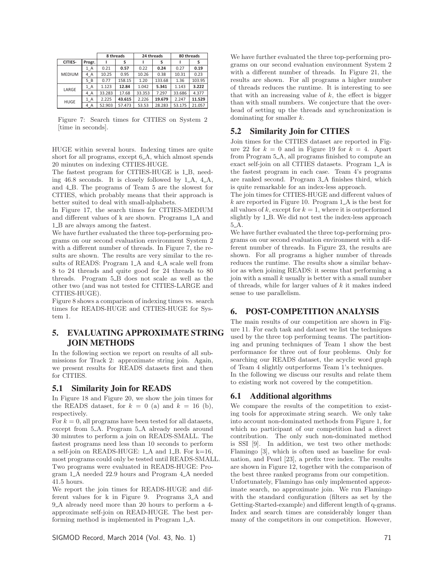|               |        | 8 threads |        |        | 24 threads | 80 threads |        |
|---------------|--------|-----------|--------|--------|------------|------------|--------|
| CITIES-       | Progr. |           | s      |        | s          |            | s      |
|               | 1 A    | 0.21      | 0.57   | 0.22   | 0.24       | 0.27       | 0.19   |
| <b>MEDIUM</b> | 4 A    | 10.25     | 0.95   | 10.26  | 0.38       | 10.31      | 0.23   |
|               | 5B     | 0.77      | 158.15 | 1.20   | 133.68     | 1.36       | 103.95 |
| LARGE         | 1 A    | 1.123     | 12.84  | 1.042  | 5.341      | 1.143      | 3.222  |
|               | 4 A    | 33.283    | 17.68  | 33.353 | 7.297      | 33.686     | 4.377  |
| <b>HUGE</b>   | 1 A    | 2.225     | 43.615 | 2.226  | 19.679     | 2.247      | 11.529 |
|               | 4 A    | 52.903    | 57.473 | 53.53  | 28.283     | 53.175     | 21.057 |

Figure 7: Search times for CITIES on System 2 [time in seconds].

HUGE within several hours. Indexing times are quite short for all programs, except 6<sub>-</sub>A, which almost spends 20 minutes on indexing CITIES-HUGE.

The fastest program for CITIES-HUGE is 1\_B, needing  $46.8$  seconds. It is closely followed by  $1_A$ ,  $4_A$ , and 4 B. The programs of Team 5 are the slowest for CITIES, which probably means that their approach is better suited to deal with small-alphabets.

In Figure 17, the search times for CITIES-MEDIUM and different values of k are shown. Programs  $1.A$  and 1<sub>-B</sub> are always among the fastest.

We have further evaluated the three top-performing programs on our second evaluation environment System 2 with a different number of threads. In Figure 7, the results are shown. The results are very similar to the results of READS: Program 1\_A and 4\_A scale well from 8 to 24 threads and quite good for 24 threads to 80 threads. Program 5 B does not scale as well as the other two (and was not tested for CITIES-LARGE and CITIES-HUGE).

Figure 8 shows a comparison of indexing times vs. search times for READS-HUGE and CITIES-HUGE for System 1.

# 5. EVALUATING APPROXIMATE STRING JOIN METHODS

In the following section we report on results of all submissions for Track 2: approximate string join. Again, we present results for READS datasets first and then for CITIES.

### 5.1 Similarity Join for READS

In Figure 18 and Figure 20, we show the join times for the READS dataset, for  $k = 0$  (a) and  $k = 16$  (b), respectively.

For  $k = 0$ , all programs have been tested for all datasets, except from 5<sub>-</sub>A. Program 5<sub>-</sub>A already needs around 30 minutes to perform a join on READS-SMALL. The fastest programs need less than 10 seconds to perform a self-join on READS-HUGE:  $1_A$  and  $1_B$ . For  $k=16$ , most programs could only be tested until READS-SMALL. Two programs were evaluated in READS-HUGE: Program 1 A needed 22.9 hours and Program 4 A needed 41.5 hours.

We report the join times for READS-HUGE and different values for k in Figure 9. Programs 3 A and 9 A already need more than 20 hours to perform a 4 approximate self-join on READ-HUGE. The best performing method is implemented in Program  $1_A$ .

SIGMOD Record, March 2014 (Vol. 43, No. 1) 71

We have further evaluated the three top-performing programs on our second evaluation environment System 2 with a different number of threads. In Figure 21, the results are shown. For all programs a higher number of threads reduces the runtime. It is interesting to see that with an increasing value of  $k$ , the effect is bigger than with small numbers. We conjecture that the overhead of setting up the threads and synchronization is dominating for smaller k.

### 5.2 Similarity Join for CITIES

Join times for the CITIES dataset are reported in Figure 22 for  $k = 0$  and in Figure 19 for  $k = 4$ . Apart from Program 5 A, all programs finished to compute an exact self-join on all CITIES datasets. Program 1\_A is the fastest program in each case. Team 4's programs are ranked second. Program 3 A finishes third, which is quite remarkable for an index-less approach.

The join times for CITIES-HUGE and different values of  $k$  are reported in Figure 10. Program  $1-A$  is the best for all values of k, except for  $k = 1$ , where it is outperformed slightly by 1<sub>-B</sub>. We did not test the index-less approach 5 A.

We have further evaluated the three top-performing programs on our second evaluation environment with a different number of threads. In Figure 23, the results are shown. For all programs a higher number of threads reduces the runtime. The results show a similar behavior as when joining READS: it seems that performing a  $\chi$  ioin with a small k usually is better with a small number of threads, while for larger values of  $k$  it makes indeed sense to use parallelism.

### 6. POST-COMPETITION ANALYSIS

The main results of our competition are shown in Figure 11. For each task and dataset we list the techniques used by the three top performing teams. The partitioning and pruning techniques of Team 1 show the best performance for three out of four problems. Only for searching our READS dataset, the acyclic word graph of Team 4 slightly outperforms Team 1's techniques. In the following we discuss our results and relate them to existing work not covered by the competition.

#### 6.1 Additional algorithms

We compare the results of the competition to existing tools for approximate string search. We only take into account non-dominated methods from Figure 1, for which no participant of our competition had a direct contribution. The only such non-dominated method is SSI [9]. In addition, we test two other methods: Flamingo [3], which is often used as baseline for evaluation, and Pearl [23], a prefix tree index. The results are shown in Figure 12, together with the comparison of the best three ranked programs from our competition. Unfortunately, Flamingo has only implemented approximate search, no approximate join. We run Flamingo with the standard configuration (filters as set by the Getting-Started-example) and different length of q-grams. Index and search times are considerably longer than many of the competitors in our competition. However,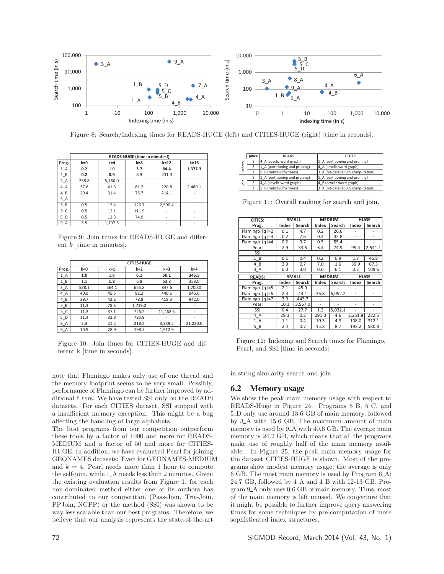

Figure 8: Search/Indexing times for READS-HUGE (left) and CITIES-HUGE (right) [time in seconds].

|                |       | READS-HUGE (time in minutes!) |         |         |          |  |  |  |  |  |  |
|----------------|-------|-------------------------------|---------|---------|----------|--|--|--|--|--|--|
| Prog.          | $k=0$ | $k = 4$                       | $k = 8$ | $k=12$  | $k = 16$ |  |  |  |  |  |  |
| $1_A$          | 0.2   | 1.0                           | 3.7     | 84.4    | 1,377.3  |  |  |  |  |  |  |
| $1_B$          | 0.2   | 0.9                           | 8.9     | 231.0   |          |  |  |  |  |  |  |
| $3_A$          | 258.8 | 5,760.0                       | ۰       | ٠       | -        |  |  |  |  |  |  |
| $4_A$          | 37.6  | 41.3                          | 81.2    | 220.8   | 2,489.1  |  |  |  |  |  |  |
| $4_B$          | 29.4  | 31.4                          | 75.7    | 214.1   |          |  |  |  |  |  |  |
| $5_A$          |       |                               |         |         |          |  |  |  |  |  |  |
| 5B             | 0.5   | 12.4                          | 126.7   | 2,590.4 | ۰        |  |  |  |  |  |  |
| 5 <sub>C</sub> | 0.5   | 12.1                          | 111.9   | ٠       | ٠        |  |  |  |  |  |  |
| 5 <sub>D</sub> | 0.5   | 12.3                          | 74.9    | ٠       | -        |  |  |  |  |  |  |
| 9 A            | 5.5   | 1.197.5                       |         |         |          |  |  |  |  |  |  |

Figure 9: Join times for READS-HUGE and different k [time in minutes].

|                     |       | <b>CITIES-HUGE</b> |         |          |          |  |  |  |  |  |
|---------------------|-------|--------------------|---------|----------|----------|--|--|--|--|--|
| Prog.               | $k=0$ | $k = 1$            | $k=2$   | $k = 3$  | $k = 4$  |  |  |  |  |  |
| $1_A$               | 1.0   | 1.9                | 6.1     | 50.1     | 345.5    |  |  |  |  |  |
| $1_B$               | 1.1   | 1.8                | 6.8     | 53.8     | 353.0    |  |  |  |  |  |
| $3_A$               | 588.1 | 564.1              | 655.8   | 847.6    | 1,700.0  |  |  |  |  |  |
| $4_A$               | 40.9  | 45.5               | 81.2    | 440.6    | 945.0    |  |  |  |  |  |
| 4 B                 | 39.7  | 42.2               | 78.8    | 418.3    | 942.0    |  |  |  |  |  |
| 5B                  | 11.3  | 78.3               | 1,719.2 |          |          |  |  |  |  |  |
| 5C                  | 11.3  | 37.1               | 726.2   | 11,462.5 |          |  |  |  |  |  |
| 5 D                 | 11.4  | 32.8               | 785.9   |          | -        |  |  |  |  |  |
| $8_A$               | 3.3   | 21.2               | 218.2   | 3,339.2  | 21,230.0 |  |  |  |  |  |
| 9<br>$\overline{A}$ | 10.9  | 28.9               | 198.7   | 1.912.9  |          |  |  |  |  |  |

Figure 10: Join times for CITIES-HUGE and different k [time in seconds].

note that Flamingo makes only use of one thread and the memory footprint seems to be very small. Possibly, performance of Flamingo can be further improved by additional filters. We have tested SSI only on the READS datasets. For each CITIES dataset, SSI stopped with a insufficient memory exception. This might be a bug affecting the handling of large alphabets.

The best programs from our competition outperform these tools by a factor of 1000 and more for READS-MEDIUM and a factor of 50 and more for CITIES-HUGE. In addition, we have evaluated Pearl for joining GEONAMES datasets: Even for GEONAMES-MEDIUM and  $k = 4$ , Pearl needs more than 1 hour to compute the self-join, while 1\_A needs less than 2 minutes. Given the existing evaluation results from Figure 1, for each non-dominated method either one of its authors has contributed to our competition (Pass-Join, Trie-Join, PPJoin, NGPP) or the method (SSI) was shown to be way less scalable than our best programs. Therefore, we believe that our analysis represents the state-of-the-art

|                         | place | <b>READS</b>                   | <b>CITIES</b>                      |
|-------------------------|-------|--------------------------------|------------------------------------|
| c                       |       | 4 A (acyclic word graph)       | 1_A (partitioning and pruning)     |
| ٢<br>ಸ                  |       | 1_A (partitioning and pruning) | 4_A (acyclic word graph)           |
| 9                       |       | 5_B (radix/Suffix trees)       | 3 A (bit-parallel LCS computation) |
|                         |       | 1_A (partitioning and pruning) | 1_A (partitioning and pruning)     |
| 크.<br>$\circ$<br>$\sim$ |       | 4 A (acyclic word graph)       | 4 B (acyclic word graph)           |
|                         |       | 5 B (radix/Suffix trees)       | 3 A (bit-parallel LCS computation) |

Figure 11: Overall ranking for search and join.

| <b>CITIES:</b>      |       | <b>SMALL</b> |       | <b>MEDIUM</b> |         | <b>HUGE</b> |
|---------------------|-------|--------------|-------|---------------|---------|-------------|
| Prog.               | Index | Search       | Index | Search        | Index   | Search      |
| Flamingo   q   = 2  | 0.1   | 4.7          | 0.2   | 26.6          |         |             |
| Flamingo $ q =3$    | 0.2   | 7.6          | 0.4   | 42.8          |         |             |
| Flamingo   q   = 4  | 0.2   | 9.7          | 0.5   | 55.4          |         |             |
| Pearl               | 2.9   | 33.5         | 6.4   | 74.9          | 99.4    | 2,541.1     |
| SSI                 |       |              |       |               |         |             |
| $\overline{1}$<br>B | 0.1   | 0.4          | 0.2   | 0.9           | 1.7     | 46.8        |
| 4<br>B              | 3.9   | 0.7          | 7.0   | 1.6           | 39.9    | 67.3        |
| 3 A                 | 0.0   | 3.0          | 0.0   | 6.1           | 0.2     | 109.6       |
|                     |       |              |       |               |         |             |
| <b>READS:</b>       |       | <b>SMALL</b> |       | <b>MEDIUM</b> |         | <b>HUGE</b> |
| Prog.               | Index | Search       | Index | Search        | Index   | Search      |
| Flamingo $ q =5$    | 2.1   | 45.9         |       |               |         |             |
| Flamingo $ q =6$    | 2.3   | 44.1         | 36.8  | 6.052.2       |         |             |
| Flamingo $ q =7$    | 3.0   | 443.7        |       |               |         |             |
| Pearl               | 10.1  | 3,567.0      |       |               |         |             |
| SSI                 | 0.4   | 27.7         | 1.2   | 5,032.1       |         |             |
| 4 A                 | 29.3  | 0.2          | 291.0 | 4.6           | 2.251.8 | 232.5       |
| Α<br>1              | 1.1   | 0.4          | 10.3  | 4.3           | 108.0   | 312.1       |

Figure 12: Indexing and Search times for Flamingo, Pearl, and SSI [time in seconds].

in string similarity search and join.

#### 6.2 Memory usage

We show the peak main memory usage with respect to READS-Huge in Figure 24. Programs 5\_B, 5\_C, and 5 D only use around 13.6 GB of main memory, followed by 3 A with 15.6 GB. The maximum amount of main memory is used by 9<sub>-</sub>A with 40.6 GB. The average main memory is 24.2 GB, which means that all the programs make use of roughly half of the main memory available.. In Figure 25, the peak main memory usage for the dataset CITIES-HUGE is shown. Most of the programs show modest memory usage; the average is only 6 GB. The most main memory is used by Program 6 A: 24.7 GB, followed by 4\_A and 4\_B with 12-13 GB. Program 9 A only uses 0.6 GB of main memory. Thus, most of the main memory is left unused. We conjecture that it might be possible to further improve query answering times for some techniques by pre-computation of more sophisticated index structures.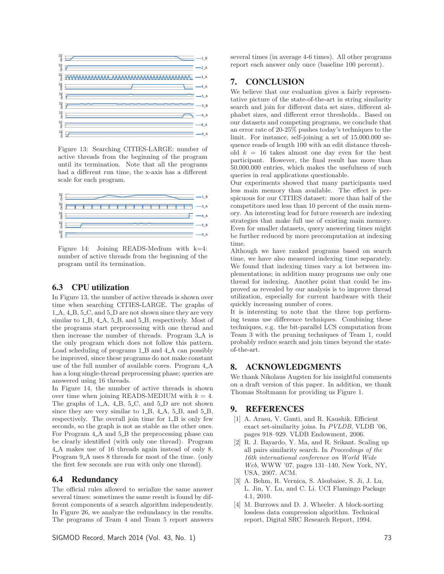

Figure 13: Searching CITIES-LARGE: number of active threads from the beginning of the program until its termination. Note that all the programs had a different run time, the x-axis has a different scale for each program.



Figure 14: Joining READS-Medium with k=4: number of active threads from the beginning of the program until its termination.

#### 6.3 CPU utilization

In Figure 13, the number of active threads is shown over time when searching CITIES-LARGE. The graphs of 1<sub>-</sub>A, 4<sub>-</sub>B, 5<sub>-</sub>C, and 5<sub>-</sub>D are not shown since they are very similar to  $1\_B$ ,  $4\_A$ ,  $5\_B$ , and  $5\_B$ , respectively. Most of the programs start preprocessing with one thread and then increase the number of threads. Program 3<sub>-A</sub> is the only program which does not follow this pattern. Load scheduling of programs 1<sub>-B</sub> and 4<sub>-A</sub> can possibly be improved, since these programs do not make constant use of the full number of available cores. Program  $4-A$ has a long single-thread preprocessing phase; queries are answered using 16 threads.

In Figure 14, the number of active threads is shown over time when joining READS-MEDIUM with  $k = 4$ . The graphs of  $1-A$ ,  $4-B$ ,  $5-C$ , and  $5-D$  are not shown since they are very similar to  $1\_B$ ,  $4\_A$ ,  $5\_B$ , and  $5\_B$ , respectively. The overall join time for 1\_B is only few seconds, so the graph is not as stable as the other ones. For Program  $4A$  and  $5B$  the preprocessing phase can be clearly identified (with only one thread). Program 4 A makes use of 16 threads again instead of only 8. Program 9<sub>-</sub>A uses 8 threads for most of the time. (only the first few seconds are run with only one thread).

#### 6.4 Redundancy

The official rules allowed to serialize the same answer several times: sometimes the same result is found by different components of a search algorithm independently. In Figure 26, we analyze the redundancy in the results. The programs of Team 4 and Team 5 report answers

SIGMOD Record, March 2014 (Vol. 43, No. 1) 73

several times (in average 4-6 times). All other programs report each answer only once (baseline 100 percent).

### 7. CONCLUSION

We believe that our evaluation gives a fairly representative picture of the state-of-the-art in string similarity search and join for different data set sizes, different alphabet sizes, and different error thresholds.. Based on our datasets and competing programs, we conclude that an error rate of 20-25% pushes today's techniques to the limit. For instance, self-joining a set of 15.000.000 sequence reads of length 100 with an edit distance threshold  $k = 16$  takes almost one day even for the best participant. However, the final result has more than 50.000.000 entries, which makes the usefulness of such queries in real applications questionable.

Our experiments showed that many participants used less main memory than available. The effect is perspicuous for our CITIES dataset: more than half of the competitors used less than 10 percent of the main memory. An interesting lead for future research are indexing strategies that make full use of existing main memory. Even for smaller datasets, query answering times might be further reduced by more precomputation at indexing time.

Although we have ranked programs based on search time, we have also measured indexing time separately. We found that indexing times vary a lot between implementations; in addition many programs use only one thread for indexing. Another point that could be improved as revealed by our analysis is to improve thread utilization, especially for current hardware with their quickly increasing number of cores.

It is interesting to note that the three top performing teams use difference techniques. Combining these techniques, e.g. the bit-parallel LCS computation from Team 3 with the pruning techniques of Team 1, could probably reduce search and join times beyond the stateof-the-art.

#### 8. ACKNOWLEDGMENTS

We thank Nikolaus Augsten for his insightful comments on a draft version of this paper. In addition, we thank Thomas Stoltmann for providing us Figure 1.

#### 9. REFERENCES

- [1] A. Arasu, V. Ganti, and R. Kaushik. Efficient exact set-similarity joins. In PVLDB, VLDB '06, pages 918–929. VLDB Endowment, 2006.
- [2] R. J. Bayardo, Y. Ma, and R. Srikant. Scaling up all pairs similarity search. In Proceedings of the 16th international conference on World Wide Web, WWW '07, pages 131–140, New York, NY, USA, 2007. ACM.
- [3] A. Behm, R. Vernica, S. Alsubaiee, S. Ji, J. Lu, L. Jin, Y. Lu, and C. Li. UCI Flamingo Package 4.1, 2010.
- [4] M. Burrows and D. J. Wheeler. A block-sorting lossless data compression algorithm. Technical report, Digital SRC Research Report, 1994.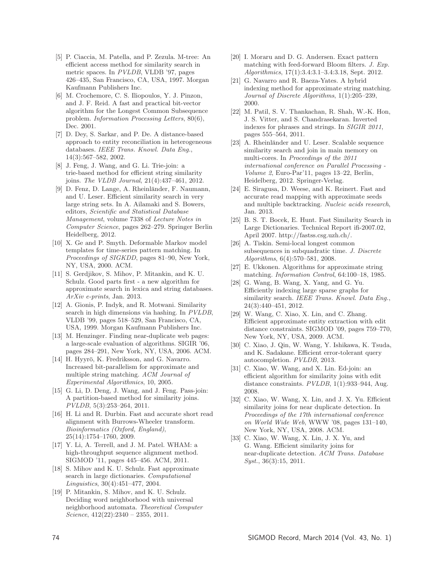- [5] P. Ciaccia, M. Patella, and P. Zezula. M-tree: An efficient access method for similarity search in metric spaces. In PVLDB, VLDB '97, pages 426–435, San Francisco, CA, USA, 1997. Morgan Kaufmann Publishers Inc.
- [6] M. Crochemore, C. S. Iliopoulos, Y. J. Pinzon, and J. F. Reid. A fast and practical bit-vector algorithm for the Longest Common Subsequence problem. Information Processing Letters, 80(6), Dec. 2001.
- [7] D. Dey, S. Sarkar, and P. De. A distance-based approach to entity reconciliation in heterogeneous databases. IEEE Trans. Knowl. Data Eng., 14(3):567–582, 2002.
- [8] J. Feng, J. Wang, and G. Li. Trie-join: a trie-based method for efficient string similarity joins. The VLDB Journal, 21(4):437–461, 2012.
- [9] D. Fenz, D. Lange, A. Rheinländer, F. Naumann, and U. Leser. Efficient similarity search in very large string sets. In A. Ailamaki and S. Bowers, editors, Scientific and Statistical Database Management, volume 7338 of Lecture Notes in Computer Science, pages 262–279. Springer Berlin Heidelberg, 2012.
- [10] X. Ge and P. Smyth. Deformable Markov model templates for time-series pattern matching. In Proceedings of SIGKDD, pages 81–90, New York, NY, USA, 2000. ACM.
- [11] S. Gerdjikov, S. Mihov, P. Mitankin, and K. U. Schulz. Good parts first - a new algorithm for approximate search in lexica and string databases. ArXiv e-prints, Jan. 2013.
- [12] A. Gionis, P. Indyk, and R. Motwani. Similarity search in high dimensions via hashing. In PVLDB, VLDB '99, pages 518–529, San Francisco, CA, USA, 1999. Morgan Kaufmann Publishers Inc.
- [13] M. Henzinger. Finding near-duplicate web pages: a large-scale evaluation of algorithms. SIGIR '06, pages 284–291, New York, NY, USA, 2006. ACM.
- [14] H. Hyyrö, K. Fredriksson, and G. Navarro. Increased bit-parallelism for approximate and multiple string matching. ACM Journal of Experimental Algorithmics, 10, 2005.
- [15] G. Li, D. Deng, J. Wang, and J. Feng. Pass-join: A partition-based method for similarity joins. PVLDB, 5(3):253–264, 2011.
- [16] H. Li and R. Durbin. Fast and accurate short read alignment with Burrows-Wheeler transform. Bioinformatics (Oxford, England), 25(14):1754–1760, 2009.
- [17] Y. Li, A. Terrell, and J. M. Patel. WHAM: a high-throughput sequence alignment method. SIGMOD '11, pages 445–456. ACM, 2011.
- [18] S. Mihov and K. U. Schulz. Fast approximate search in large dictionaries. Computational Linguistics, 30(4):451–477, 2004.
- [19] P. Mitankin, S. Mihov, and K. U. Schulz. Deciding word neighborhood with universal neighborhood automata. Theoretical Computer Science,  $412(22):2340 - 2355$ ,  $2011$ .
- [20] I. Moraru and D. G. Andersen. Exact pattern matching with feed-forward Bloom filters. J. Exp. Algorithmics, 17(1):3.4:3.1–3.4:3.18, Sept. 2012.
- [21] G. Navarro and R. Baeza-Yates. A hybrid indexing method for approximate string matching. Journal of Discrete Algorithms, 1(1):205–239, 2000.
- [22] M. Patil, S. V. Thankachan, R. Shah, W.-K. Hon, J. S. Vitter, and S. Chandrasekaran. Inverted indexes for phrases and strings. In SIGIR 2011, pages 555–564, 2011.
- [23] A. Rheinländer and U. Leser. Scalable sequence similarity search and join in main memory on multi-cores. In Proceedings of the 2011 international conference on Parallel Processing - Volume 2, Euro-Par'11, pages 13–22, Berlin, Heidelberg, 2012. Springer-Verlag.
- [24] E. Siragusa, D. Weese, and K. Reinert. Fast and accurate read mapping with approximate seeds and multiple backtracking. Nucleic acids research, Jan. 2013.
- [25] B. S. T. Bocek, E. Hunt. Fast Similarity Search in Large Dictionaries. Technical Report ifi-2007.02, April 2007. http://fastss.csg.uzh.ch/.
- [26] A. Tiskin. Semi-local longest common subsequences in subquadratic time. J. Discrete Algorithms, 6(4):570–581, 2008.
- [27] E. Ukkonen. Algorithms for approximate string matching. Information Control, 64:100–18, 1985.
- [28] G. Wang, B. Wang, X. Yang, and G. Yu. Efficiently indexing large sparse graphs for similarity search. IEEE Trans. Knowl. Data Eng., 24(3):440–451, 2012.
- [29] W. Wang, C. Xiao, X. Lin, and C. Zhang. Efficient approximate entity extraction with edit distance constraints. SIGMOD '09, pages 759–770, New York, NY, USA, 2009. ACM.
- [30] C. Xiao, J. Qin, W. Wang, Y. Ishikawa, K. Tsuda, and K. Sadakane. Efficient error-tolerant query autocompletion. PVLDB, 2013.
- [31] C. Xiao, W. Wang, and X. Lin. Ed-join: an efficient algorithm for similarity joins with edit distance constraints. PVLDB, 1(1):933–944, Aug. 2008.
- [32] C. Xiao, W. Wang, X. Lin, and J. X. Yu. Efficient similarity joins for near duplicate detection. In Proceedings of the 17th international conference on World Wide Web, WWW '08, pages 131–140, New York, NY, USA, 2008. ACM.
- [33] C. Xiao, W. Wang, X. Lin, J. X. Yu, and G. Wang. Efficient similarity joins for near-duplicate detection. ACM Trans. Database Syst., 36(3):15, 2011.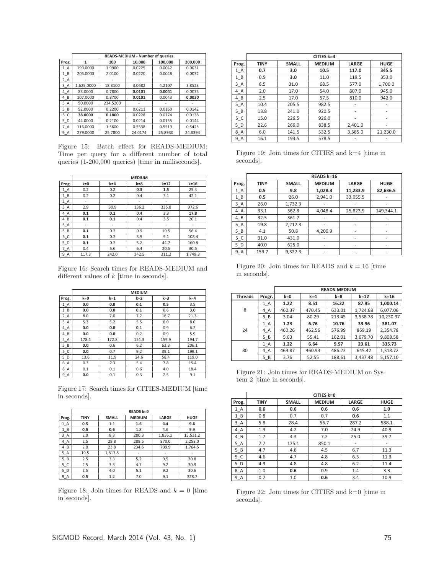|       |            | READS-MEDIUM - Number of queries |         |         |         |  |  |  |  |  |
|-------|------------|----------------------------------|---------|---------|---------|--|--|--|--|--|
| Prog. | 1          | 100                              | 10.000  | 100.000 | 200,000 |  |  |  |  |  |
| 1 A   | 199,0000   | 1.9900                           | 0.0225  | 0.0042  | 0.0031  |  |  |  |  |  |
| 1B    | 205.0000   | 2.0100                           | 0.0220  | 0.0048  | 0.0032  |  |  |  |  |  |
| 2 A   |            |                                  |         |         |         |  |  |  |  |  |
| 3A    | 1.625.0000 | 18.3100                          | 3.0682  | 4.2107  | 3.8523  |  |  |  |  |  |
| 4 A   | 83.0000    | 0.7800                           | 0.0101  | 0.0041  | 0.0035  |  |  |  |  |  |
| 4 B   | 107.0000   | 0.8700                           | 0.0101  | 0.0043  | 0.0030  |  |  |  |  |  |
| 5 A   | 50.0000    | 234.5200                         |         |         |         |  |  |  |  |  |
| 5 B   | 52.0000    | 0.2200                           | 0.0211  | 0.0160  | 0.0142  |  |  |  |  |  |
| 5 C   | 38.0000    | 0.1800                           | 0.0228  | 0.0174  | 0.0138  |  |  |  |  |  |
| 5 D   | 44.0000    | 0.2100                           | 0.0214  | 0.0155  | 0.0144  |  |  |  |  |  |
| 7 A   | 116.0000   | 1.5600                           | 0.5538  | 0.5519  | 0.5423  |  |  |  |  |  |
| $9_A$ | 279.0000   | 25.7800                          | 24.0174 | 25.8930 | 24.8394 |  |  |  |  |  |

Figure 15: Batch effect for READS-MEDIUM: Time per query for a different number of total queries (1-200,000 queries) [time in milliseconds].

|       |       |         | <b>MEDIUM</b> |        |          |
|-------|-------|---------|---------------|--------|----------|
| Prog. | $k=0$ | $k = 4$ | $k = 8$       | $k=12$ | $k = 16$ |
| 1 A   | 0.2   | 0.2     | 0.3           | 1.5    | 25.4     |
| $1_B$ | 0.2   | 0.2     | 0.4           | 3.1    | 42.1     |
| $2_A$ |       |         |               |        |          |
| $3_A$ | 2.9   | 30.9    | 136.2         | 335.8  | 972.6    |
| 4A    | 0.1   | 0.1     | 0.4           | 3.3    | 17.8     |
| $4_B$ | 0.1   | 0.1     | 0.4           | 3.5    | 20.1     |
| $5_A$ | ۰     | ٠       | ٠             | ٠      |          |
| $5_B$ | 0.1   | 0.2     | 0.9           | 19.5   | 56.4     |
| 5C    | 0.1   | 0.2     | 3.9           | 9.1    | 108.4    |
| 5D    | 0.1   | 0.2     | 5.2           | 44.7   | 160.8    |
| $7_A$ | 0.4   | 5.6     | 6.4           | 20.5   | 30.5     |
| 9A    | 117.3 | 242.0   | 242.5         | 311.2  | 1.749.3  |

Figure 16: Search times for READS-MEDIUM and different values of  $k$  [time in seconds].

|       | <b>MEDIUM</b> |         |       |         |         |  |  |
|-------|---------------|---------|-------|---------|---------|--|--|
| Prog. | $k=0$         | $k = 1$ | $k=2$ | $k = 3$ | $k = 4$ |  |  |
| $1_A$ | 0.0           | 0.0     | 0.1   | 0.5     | 3.5     |  |  |
| $1_B$ | 0.0           | 0.0     | 0.1   | 0.6     | 3.0     |  |  |
| $2_A$ | 8.0           | 7.0     | 7.2   | 16.7    | 21.3    |  |  |
| $3_A$ | 5.3           | 5.2     | 5.5   | 6.0     | 8.0     |  |  |
| 4A    | 0.0           | 0.0     | 0.1   | 0.9     | 6.2     |  |  |
| $4_B$ | 0.0           | 0.0     | 0.2   | 0.9     | 5.9     |  |  |
| $5_A$ | 178.4         | 172.8   | 154.3 | 159.9   | 194.7   |  |  |
| $5_B$ | 0.0           | 0.6     | 6.2   | 63.3    | 206.1   |  |  |
| 5C    | 0.0           | 0.7     | 9.2   | 39.1    | 199.1   |  |  |
| 5D    | 13.6          | 11.9    | 24.6  | 58.4    | 119.0   |  |  |
| 6 A   | 0.3           | 2.3     | 5.4   | 7.8     | 15.4    |  |  |
| $8_A$ | 0.1           | 0.1     | 0.6   | 4.0     | 18.4    |  |  |
| 9A    | 0.0           | 0.1     | 0.3   | 2.5     | 9.1     |  |  |

Figure 17: Search times for CITIES-MEDIUM [time in seconds].

|       | <b>READS k=0</b> |              |               |         |             |  |  |  |
|-------|------------------|--------------|---------------|---------|-------------|--|--|--|
| Prog. | TINY             | <b>SMALL</b> | <b>MEDIUM</b> | LARGE   | <b>HUGE</b> |  |  |  |
| $1_A$ | 0.5              | 1.1          | 1.6           | 4.4     | 9.6         |  |  |  |
| $1_B$ | 0.5              | 0.6          | 1.8           | 4.6     | 9.9         |  |  |  |
| $3_A$ | 2.0              | 8.3          | 200.3         | 1,836.1 | 15,531.2    |  |  |  |
| $4_A$ | 2.5              | 29.8         | 288.5         | 870.0   | 2,258.0     |  |  |  |
| $4_B$ | 2.0              | 23.8         | 234.5         | 709.9   | 1,764.5     |  |  |  |
| 5 A   | 19.5             | 1,813.8      | ٠             |         |             |  |  |  |
| 5B    | 2.5              | 3.3          | 5.2           | 9.5     | 30.8        |  |  |  |
| 5C    | 2.5              | 3.3          | 4.7           | 9.2     | 30.9        |  |  |  |
| 5D    | 2.5              | 4.0          | 5.1           | 9.2     | 30.6        |  |  |  |
| $9_A$ | 0.5              | 1.2          | 7.0           | 9.1     | 328.7       |  |  |  |

Figure 18: Join times for READS and  $k = 0$  [time in seconds].

|       | CITIES k=4  |              |               |                          |             |  |  |  |
|-------|-------------|--------------|---------------|--------------------------|-------------|--|--|--|
| Prog. | <b>TINY</b> | <b>SMALL</b> | <b>MEDIUM</b> | <b>LARGE</b>             | <b>HUGE</b> |  |  |  |
| 1 A   | 0.7         | 3.0          | 10.5          | 117.0                    | 345.5       |  |  |  |
| $1_B$ | 0.9         | 3.0          | 11.0          | 119.5                    | 353.0       |  |  |  |
| $3_A$ | 6.5         | 31.0         | 68.5          | 577.0                    | 1,700.0     |  |  |  |
| 4_A   | 2.0         | 17.0         | 54.0          | 807.0                    | 945.0       |  |  |  |
| $4_B$ | 2.5         | 17.0         | 57.5          | 810.0                    | 942.0       |  |  |  |
| 5 A   | 10.4        | 205.5        | 982.5         | $\overline{\phantom{a}}$ |             |  |  |  |
| $5_B$ | 13.8        | 241.0        | 920.5         | -                        |             |  |  |  |
| 5C    | 15.0        | 226.5        | 926.0         | $\overline{\phantom{a}}$ | -           |  |  |  |
| 5 D   | 22.6        | 266.0        | 838.5         | 2,401.0                  | -           |  |  |  |
| 8_A   | 6.0         | 141.5        | 532.5         | 3,585.0                  | 21,230.0    |  |  |  |
| $9_A$ | 16.1        | 193.5        | 578.5         |                          |             |  |  |  |

Figure 19: Join times for CITIES and k=4 [time in seconds].

|       | READS k=16  |              |               |                          |             |  |  |
|-------|-------------|--------------|---------------|--------------------------|-------------|--|--|
| Prog. | <b>TINY</b> | <b>SMALL</b> | <b>MEDIUM</b> | LARGE                    | <b>HUGE</b> |  |  |
| $1_A$ | 0.5         | 9.8          | 1,028.3       | 11,283.9                 | 82,636.5    |  |  |
| 1 B   | 0.5         | 26.0         | 2,941.0       | 33,055.5                 |             |  |  |
| $3_A$ | 26.0        | 1,732.3      |               | $\overline{\phantom{a}}$ |             |  |  |
| $4_A$ | 33.1        | 362.8        | 4,048.4       | 25,823.9                 | 149,344.1   |  |  |
| $4_B$ | 32.5        | 361.7        |               |                          |             |  |  |
| $5_A$ | 19.8        | 2,217.3      |               | $\overline{\phantom{a}}$ |             |  |  |
| $5_B$ | 4.1         | 50.8         | 4,200.9       | $\overline{\phantom{a}}$ |             |  |  |
| 5 C   | 31.0        | 431.0        |               | $\overline{\phantom{a}}$ |             |  |  |
| 5 D   | 40.0        | 625.0        | ۰             | $\overline{\phantom{a}}$ |             |  |  |
| $9_A$ | 159.7       | 9,327.3      | -             | -                        |             |  |  |

Figure 20: Join times for READS and  $k = 16$  [time in seconds].

|                |        | <b>READS-MEDIUM</b> |          |        |          |           |  |
|----------------|--------|---------------------|----------|--------|----------|-----------|--|
| <b>Threads</b> | Progr. | $k=0$               | $k = 16$ |        |          |           |  |
|                | 1 A    | 1.22                | 8.51     | 16.22  | 87.95    | 1,000.14  |  |
| 8              | 4_A    | 460.37              | 470.45   | 633.01 | 1.724.68 | 6.077.06  |  |
|                | 5B     | 3.04                | 80.29    | 213.45 | 3,538.78 | 10,230.97 |  |
|                | 1 A    | 1.23                | 6.76     | 10.76  | 33.96    | 381.07    |  |
| 24             | 4 A    | 460.26              | 462.56   | 576.99 | 869.19   | 2,354.78  |  |
|                | 5B     | 5.63                | 55.41    | 162.01 | 3,679.70 | 9,808.58  |  |
|                | 1 A    | 1.22                | 6.64     | 9.57   | 23.61    | 335.73    |  |
| 80             | 4 A    | 469.87              | 460.93   | 486.23 | 645.42   | 1,318.72  |  |
|                | 5B     | 3.76                | 52.55    | 188.61 | 3,437.48 | 5,157.10  |  |

Figure 21: Join times for READS-MEDIUM on System 2 [time in seconds].

|       | CITIES k=0  |              |               |                          |             |  |  |  |
|-------|-------------|--------------|---------------|--------------------------|-------------|--|--|--|
| Prog. | <b>TINY</b> | <b>SMALL</b> | <b>MEDIUM</b> | LARGE                    | <b>HUGE</b> |  |  |  |
| $1_A$ | 0.6         | 0.6          | 0.6           | 0.6                      | 1.0         |  |  |  |
| $1_B$ | 0.8         | 0.7          | 0.7           | 0.6                      | 1.1         |  |  |  |
| $3_A$ | 5.8         | 28.4         | 56.7          | 287.2                    | 588.1       |  |  |  |
| $4_A$ | 1.9         | 4.2          | 7.0           | 24.9                     | 40.9        |  |  |  |
| $4_B$ | 1.7         | 4.3          | 7.2           | 25.0                     | 39.7        |  |  |  |
| $5_A$ | 7.7         | 175.1        | 850.1         | $\overline{\phantom{a}}$ | ٠           |  |  |  |
| $5_B$ | 4.7         | 4.6          | 4.5           | 6.7                      | 11.3        |  |  |  |
| 5C    | 4.6         | 4.7          | 4.8           | 6.3                      | 11.3        |  |  |  |
| 5D    | 4.9         | 4.8          | 4.8           | 6.2                      | 11.4        |  |  |  |
| $8_A$ | 1.0         | 0.6          | 0.9           | 1.4                      | 3.3         |  |  |  |
| 9 A   | 0.7         | 1.0          | 0.6           | 3.4                      | 10.9        |  |  |  |

Figure 22: Join times for CITIES and k=0 [time in seconds].